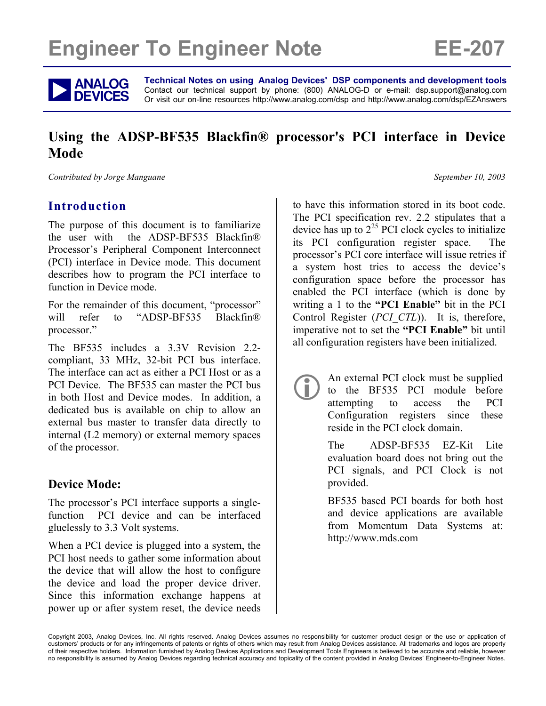# **Engineer To Engineer Note FE-207**



**ANALOG** Technical Notes on using Analog Devices' DSP components and development tools<br> **DEVICES** Or visit our on-line resources http://www.analog.com/dsp and http://www.analog.com/dsp/EZAnswers Contact our technical support by phone: (800) ANALOG-D or e-mail: dsp.support@analog.com

# **Using the ADSP-BF535 Blackfin® processor's PCI interface in Device Mode**

*Contributed by Jorge Manguane*  $S$  *Contributed by Jorge Manguane*  $S$  *Contributed by Jorge Manguane* 

## **Introduction**

The purpose of this document is to familiarize the user with the ADSP-BF535 Blackfin® Processor's Peripheral Component Interconnect (PCI) interface in Device mode. This document describes how to program the PCI interface to function in Device mode.

For the remainder of this document, "processor" will refer to "ADSP-BF535 Blackfin® processor."

The BF535 includes a 3.3V Revision 2.2 compliant, 33 MHz, 32-bit PCI bus interface. The interface can act as either a PCI Host or as a PCI Device. The BF535 can master the PCI bus in both Host and Device modes. In addition, a dedicated bus is available on chip to allow an external bus master to transfer data directly to internal (L2 memory) or external memory spaces of the processor.

## **Device Mode:**

The processor's PCI interface supports a singlefunction PCI device and can be interfaced gluelessly to 3.3 Volt systems.

When a PCI device is plugged into a system, the PCI host needs to gather some information about the device that will allow the host to configure the device and load the proper device driver. Since this information exchange happens at power up or after system reset, the device needs

to have this information stored in its boot code. The PCI specification rev. 2.2 stipulates that a device has up to  $2^{25}$  PCI clock cycles to initialize its PCI configuration register space. The processor's PCI core interface will issue retries if a system host tries to access the device's configuration space before the processor has enabled the PCI interface (which is done by writing a 1 to the **"PCI Enable"** bit in the PCI Control Register (*PCI\_CTL*)). It is, therefore, imperative not to set the **"PCI Enable"** bit until all configuration registers have been initialized.

> An external PCI clock must be supplied<br>to the BF535 PCI module before<br>attempting to access the PCI to the BF535 PCI module before attempting Configuration registers since these reside in the PCI clock domain.

The ADSP-BF535 EZ-Kit Lite evaluation board does not bring out the PCI signals, and PCI Clock is not provided.

BF535 based PCI boards for both host and device applications are available from Momentum Data Systems at: http://www.mds.com

Copyright 2003, Analog Devices, Inc. All rights reserved. Analog Devices assumes no responsibility for customer product design or the use or application of customers' products or for any infringements of patents or rights of others which may result from Analog Devices assistance. All trademarks and logos are property of their respective holders. Information furnished by Analog Devices Applications and Development Tools Engineers is believed to be accurate and reliable, however no responsibility is assumed by Analog Devices regarding technical accuracy and topicality of the content provided in Analog Devices' Engineer-to-Engineer Notes.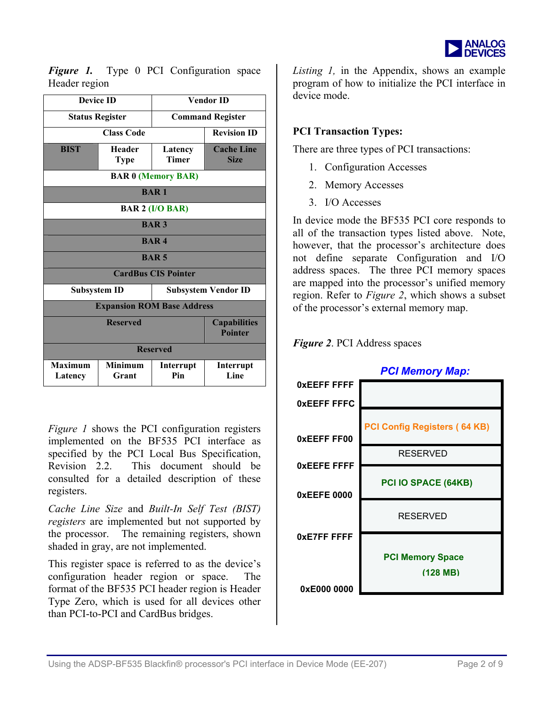

*Figure 1.* Type 0 PCI Configuration space Header region

| <b>Device ID</b>                  |                              | <b>Vendor ID</b>           |                                       |  |
|-----------------------------------|------------------------------|----------------------------|---------------------------------------|--|
| <b>Status Register</b>            |                              | <b>Command Register</b>    |                                       |  |
| <b>Class Code</b>                 |                              | <b>Revision ID</b>         |                                       |  |
| <b>BIST</b>                       | <b>Header</b><br><b>Type</b> | Latency<br><b>Timer</b>    | <b>Cache Line</b><br><b>Size</b>      |  |
| <b>BAR 0 (Memory BAR)</b>         |                              |                            |                                       |  |
| <b>BAR1</b>                       |                              |                            |                                       |  |
| <b>BAR 2 (I/O BAR)</b>            |                              |                            |                                       |  |
| <b>BAR3</b>                       |                              |                            |                                       |  |
| <b>BAR4</b>                       |                              |                            |                                       |  |
| <b>BAR5</b>                       |                              |                            |                                       |  |
| <b>CardBus CIS Pointer</b>        |                              |                            |                                       |  |
| <b>Subsystem ID</b>               |                              | <b>Subsystem Vendor ID</b> |                                       |  |
| <b>Expansion ROM Base Address</b> |                              |                            |                                       |  |
|                                   | <b>Reserved</b>              |                            | <b>Capabilities</b><br><b>Pointer</b> |  |
| <b>Reserved</b>                   |                              |                            |                                       |  |
| <b>Maximum</b><br>Latency         | <b>Minimum</b><br>Grant      | Interrupt<br>Pin           | Interrupt<br>Line                     |  |

*Figure 1* shows the PCI configuration registers implemented on the BF535 PCI interface as specified by the PCI Local Bus Specification, Revision 2.2. This document should be consulted for a detailed description of these registers.

*Cache Line Size* and *Built-In Self Test (BIST) registers* are implemented but not supported by the processor. The remaining registers, shown shaded in gray, are not implemented.

This register space is referred to as the device's configuration header region or space. The format of the BF535 PCI header region is Header Type Zero, which is used for all devices other than PCI-to-PCI and CardBus bridges.

 Type 0 PCI Configuration space *Listing 1,* in the Appendix, shows an exam ple program of how to initialize the PCI interface in device mode

#### **PCI Transaction Types:**

There are three types of PCI transactions:

- 1. Configuration Accesses
- 2. Memory Accesses
- 3. I/O Accesses

In device mode the BF535 PCI core responds to all of the transaction types listed above. Note, however, that the processor's architecture does not define separate Configuration and I/O address spaces. The three PCI memory spaces are mapped into the processor's unified memory region. Refer to *Figure 2*, which shows a subset of the processor's external memory map.



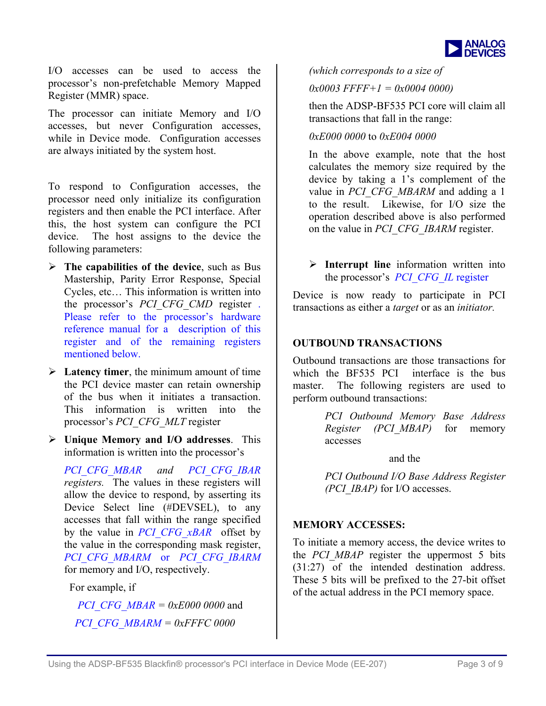

I/O accesses can be used to access the processor's non-prefetchable Memory Mapped Register (MMR) space.

The processor can initiate Memory and I/O accesses, but never Configuration accesses, while in Device mode. Configuration accesses are always initiated by the system host.

To respond to Configuration accesses, the processor need only initialize its configuration registers and then enable the PCI interface. After this, the host system can configure the PCI device. The host assigns to the device the following parameters:

- ¾ **The capabilities of the device**, such as Bus Mastership, Parity Error Response, Special Cycles, etc… This information is written into the processor's *PCI\_CFG\_CMD* register . Please refer to the processor's hardware reference manual for a description of this register and of the remaining registers mentioned below.
- ¾ **Latency timer**, the minimum amount of time the PCI device master can retain ownership of the bus when it initiates a transaction. This information is written into the processor's *PCI\_CFG\_MLT* register
- ¾ **Unique Memory and I/O addresses**. This information is written into the processor's

*PCI\_CFG\_MBAR and PCI\_CFG\_IBAR registers.* The values in these registers will allow the device to respond, by asserting its Device Select line (#DEVSEL), to any accesses that fall within the range specified by the value in *PCI\_CFG\_xBAR* offset by the value in the corresponding mask register, *PCI\_CFG\_MBARM* or *PCI\_CFG\_IBARM*  for memory and I/O, respectively.

For example, if

*PCI\_CFG\_MBAR = 0xE000 0000*  and  *PCI\_CFG\_MBARM = 0xFFFC 0000* 

*(which corresponds to a size of* 

*0x0003 FFFF+1 = 0x0004 0000)*

then the ADSP-BF535 PCI core will claim all transactions that fall in the range:

*0xE000 0000* to *0xE004 0000* 

In the above example, note that the host calculates the memory size required by the device by taking a 1's complement of the value in *PCI* CFG MBARM and adding a 1 to the result. Likewise, for I/O size the operation described above is also performed on the value in *PCI\_CFG\_IBARM* register.

¾ **Interrupt line** information written into the processor's *PCI\_CFG\_IL* register

Device is now ready to participate in PCI transactions as either a *target* or as an *initiator.* 

#### **OUTBOUND TRANSACTIONS**

Outbound transactions are those transactions for which the BF535 PCI interface is the bus master. The following registers are used to perform outbound transactions:

> *PCI Outbound Memory Base Address Register (PCI\_MBAP)* for memory accesses

> > and the

*PCI Outbound I/O Base Address Register (PCI\_IBAP)* for I/O accesses.

#### **MEMORY ACCESSES:**

To initiate a memory access, the device writes to the *PCI MBAP* register the uppermost 5 bits (31:27) of the intended destination address. These 5 bits will be prefixed to the 27-bit offset of the actual address in the PCI memory space.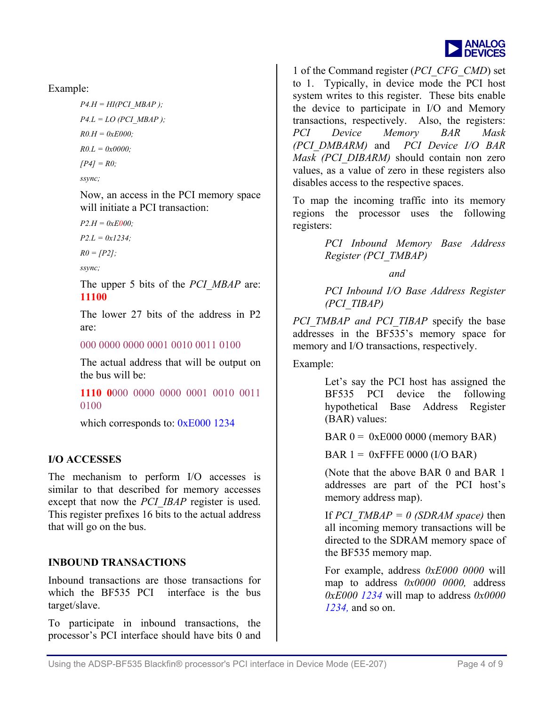

Example:

 $P4.H = HI(PCI MBAP)$ ;  $P4.L = LO (PCI MBAP);$ *R0.H = 0xE000; R0.L = 0x0000; [P4] = R0; ssync;* 

Now, an access in the PCI memory space will initiate a PCI transaction:

*P2.H = 0xE000;* 

*P2.L = 0x1234;* 

*R0 = [P2];* 

*ssync;* 

The upper 5 bits of the *PCI\_MBAP* are: **11100**

The lower 27 bits of the address in P2 are:

000 0000 0000 0001 0010 0011 0100

The actual address that will be output on the bus will be:

**1110 0**000 0000 0000 0001 0010 0011 0100

which corresponds to: 0xE000 1234

#### **I/O ACCESSES**

The mechanism to perform I/O accesses is similar to that described for memory accesses except that now the *PCI\_IBAP* register is used. This register prefixes 16 bits to the actual address that will go on the bus.

#### **INBOUND TRANSACTIONS**

Inbound transactions are those transactions for which the BF535 PCI interface is the bus target/slave.

To participate in inbound transactions, the processor's PCI interface should have bits 0 and

1 of the Command register (*PCI\_CFG\_CMD*) set to 1. Typically, in device mode the PCI host system writes to this register. These bits enable the device to participate in I/O and Memory transactions, respectively. Also, the registers: *PCI Device Memory BAR Mask (PCI\_DMBARM)* and *PCI Device I/O BAR Mask (PCI\_DIBARM)* should contain non zero values, as a value of zero in these registers also disables access to the respective spaces.

To map the incoming traffic into its memory regions the processor uses the following registers:

> *PCI Inbound Memory Base Address Register (PCI\_TMBAP)*

> > *and*

*PCI Inbound I/O Base Address Register (PCI\_TIBAP)*

*PCI TMBAP and PCI TIBAP* specify the base addresses in the BF535's memory space for memory and I/O transactions, respectively.

Example:

Let's say the PCI host has assigned the BF535 PCI device the following hypothetical Base Address Register (BAR) values:

 $BAR 0 = 0xE000 0000 (memory BAR)$ 

 $BAR 1 = 0x$  FFFE 0000 (I/O BAR)

(Note that the above BAR 0 and BAR 1 addresses are part of the PCI host's memory address map).

If *PCI\_TMBAP = 0 (SDRAM space)* then all incoming memory transactions will be directed to the SDRAM memory space of the BF535 memory map.

For example, address *0xE000 0000* will map to address *0x0000 0000,* address *0xE000 1234* will map to address *0x0000 1234,* and so on.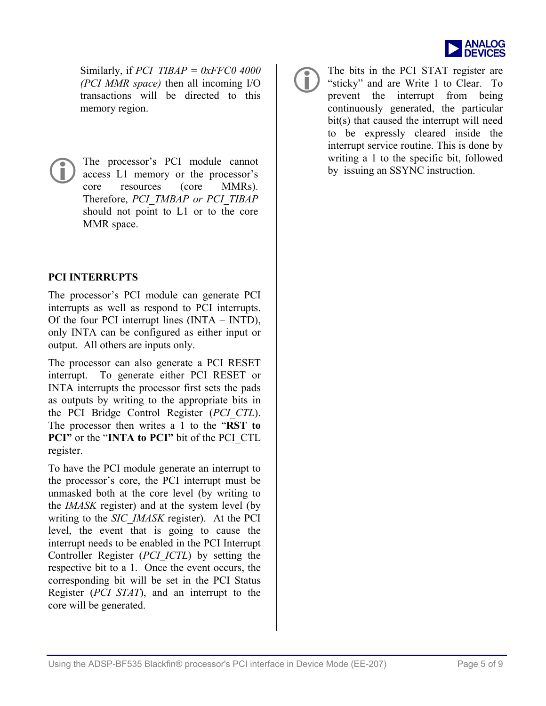

Similarly, if *PCI\_TIBAP = 0xFFC0 4000 (PCI MMR space)* then all incoming I/O transactions will be directed to this memory region.

The processor's PCI module cannot writing a 1 to the specific bit, followed access L1 memory or the processor's core MMRs). access L1 memory or the processor's resources Therefore, *PCI\_TMBAP or PCI\_TIBAP*  should not point to L1 or to the core MMR space.

#### **PCI INTERRUPTS**

The processor's PCI module can generate PCI interrupts as well as respond to PCI interrupts. Of the four PCI interrupt lines (INTA – INTD), only INTA can be configured as either input or output. All others are inputs only.

The processor can also generate a PCI RESET interrupt. To generate either PCI RESET or INTA interrupts the processor first sets the pads as outputs by writing to the appropriate bits in the PCI Bridge Control Register (*PCI\_CTL*). The processor then writes a 1 to the "**RST to PCI"** or the "**INTA to PCI"** bit of the PCI\_CTL register.

To have the PCI module generate an interrupt to the processor's core, the PCI interrupt must be unmasked both at the core level (by writing to the *IMASK* register) and at the system level (by writing to the *SIC\_IMASK* register). At the PCI level, the event that is going to cause the interrupt needs to be enabled in the PCI Interrupt Controller Register (*PCI\_ICTL*) by setting the respective bit to a 1. Once the event occurs, the corresponding bit will be set in the PCI Status Register (*PCI\_STAT*), and an interrupt to the core will be generated.



The bits in the PCI\_STAT register are<br>
"sticky" and are Write 1 to Clear. To<br>
prevent the interpret from being "sticky" and are Write 1 to Clear. To prevent the interrupt from being continuously generated, the particular bit(s) that caused the interrupt will need to be expressly cleared inside the interrupt service routine. This is done by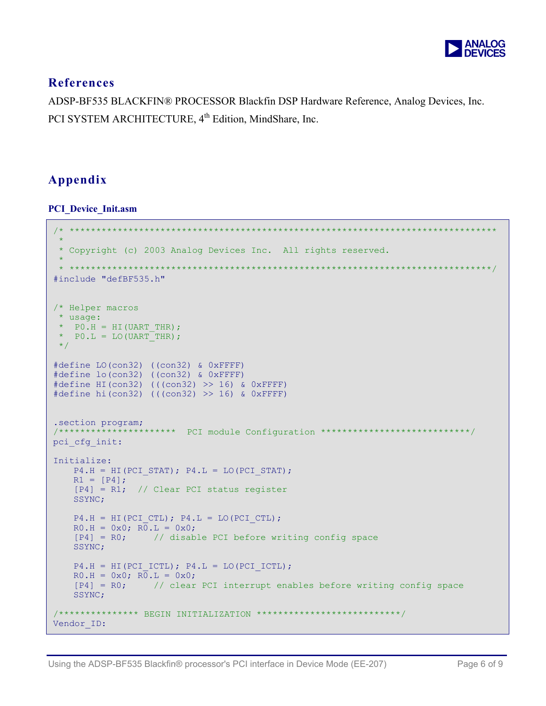

## **References**

ADSP-BF535 BLACKFIN® PROCESSOR Blackfin DSP Hardware Reference, Analog Devices, Inc. PCI SYSTEM ARCHITECTURE, 4<sup>th</sup> Edition, MindShare, Inc.

# **Appendix**

**PCI\_Device\_Init.asm** 

```
/* ******************************************************************************** 
\mathcal{R}_{\mathcal{A}} * Copyright (c) 2003 Analog Devices Inc. All rights reserved. 
 * 
  * *******************************************************************************/ 
#include "defBF535.h" 
/* Helper macros 
  * usage: 
* PO.H = HI(UART THE);* PO.L = LO(UART THE); */ 
#define LO(con32) ((con32) & 0xFFFF) 
#define lo(con32) ((con32) & 0xFFFF) 
#define HI(con32) (((con32) >> 16) & 0xFFFF) 
#define hi(con32) (((con32) >> 16) & 0xFFFF) 
.section program; 
                  ****** PCI module Configuration *****************************/
pci cfg init:
Initialize: 
   P4.H = HI(PCI STAT); P4.L = LO(PCI STAT);R1 = [P4]; [P4] = R1; // Clear PCI status register 
    SSYNC; 
   P4.H = HI(PCI CTL); P4.L = LO(PCI CTL);R0.H = 0x0; R0.L = 0x0; [P4] = R0; // disable PCI before writing config space
    SSYNC; 
   P4.H = HI(PCI ICTL); P4.L = LO(PCI ICTL);R0.H = 0x0; R0.L = 0x0;[P4] = R0; // clear PCI interrupt enables before writing config space
    SSYNC; 
/*************** BEGIN INITIALIZATION ***************************/ 
Vendor ID:
```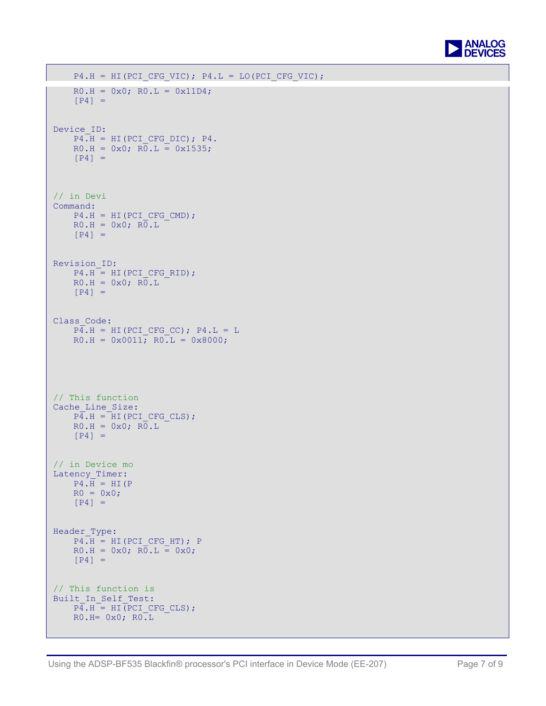

```
P4.H = HI(PCI_CFG_VIC); P4.L = LO(PCI_CFG_VIC);RO.H = 0x0; RO.L = 0x11D4;[P4] =Device ID:
   P4.H = HI(PCI CFG DIC); P4.RO.H = 0x0; R\overline{0}.L = 0x1535;[P4] =
// in Devi
Command: 
   P4.H = HI(PCI CFG CMD);RO.H = 0x0; R\overline{0}.L[P4] =
Revision_ID: 
   P4.H = HI(PCI CFG RID);RO.H = 0x0; RO.L[P4] =Class Code:
   P\overline{4}.H = HI(PCI_CFG_CC); P4.L = L
   RO.H = 0x0011; RO.L = 0x8000;// This functionCache Line Size:
   \overline{P4.H} = \overline{HI(PCI CFG CLS)};
   RO.H = 0x0; R0.L[P4] =// in Device mo
Latency_Timer: 
   P4.H = HT(P)R0 = 0x0;[P4] =Header Type:
   P4.H = HI(PCI CFG HT); PR0.H = 0x0; R0.L = 0x0;<br>[P4] =
[P4] = [// This function is
Built_In_Self_Test: 
   \overline{P4.H} = HI(PCI CFG CLS);
   RO.H = 0x0; RO.L
```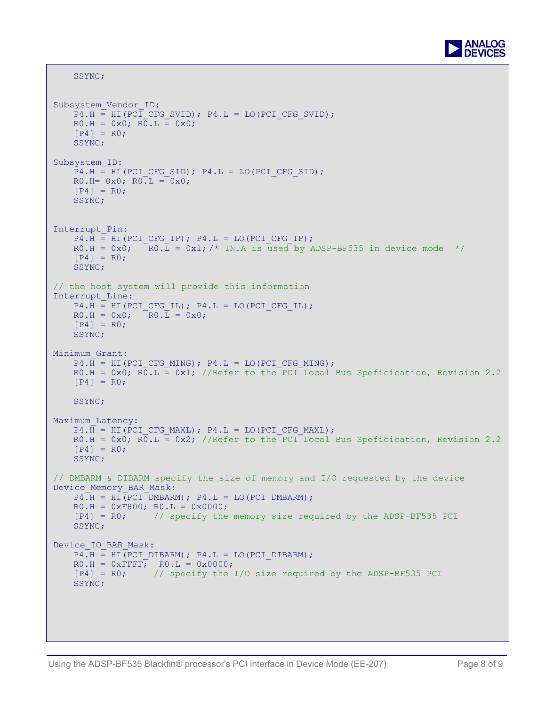

```
 SSYNC; 
Subsystem Vendor ID:
    P4.H = HI(PCI CFG SVID); P4.L = LO(PCI CFG SVID);R0.H = 0x0; R0.L = 0x0;[P4] = R0; SSYNC; 
Subsystem_ID: 
   P4.H = HI(PCI CFG SID); P4.L = LO(PCI CFG SID);R0.H= 0x0; R0.L = 0x0;[P4] = R0; SSYNC; 
Interrupt_Pin: 
    P4.H = HI(PCI CFG IP); P4.L = LO(PCI CFG IP);R0.H = 0x0; R0.\overline{L} = 0x1; /* INTA is used by ADSP-BF535 in device mode */
    [P4] = R0; SSYNC; 
// the host system will provide this information 
Interrupt_Line: 
    P4.H = HI(PCI CFG IL); P4.L = LO(PCI CFG IL);R0.H = 0x0; R0.\overline{L} = 0x0;[P4] = R0; SSYNC; 
Minimum_Grant: 
    P4.H = HI(PCI CFG MING); P4.L = LO(PCI CFG MING);R0.H = 0x0; R\overline{0}.L = 0x1; //Refer to the PCI Local Bus Speficication, Revision 2.2
    [P4] = R0; SSYNC; 
Maximum_Latency: 
    P4.H = HI(PCI CFG MAXL); P4.L = LO(PCI CFG MAXL);R0.H = 0x0; R0.L = 0x2; //Refer to the PCI Local Bus Speficication, Revision 2.2
    [P4] = R0; SSYNC; 
// DMBARM & DIBARM specify the size of memory and I/O requested by the device 
Device Memory BAR Mask:
   P4.H = HI(PCI DMBARM); P4.L = LO(PCI DMBARM);RO.H = 0xF800; RO.L = 0x0000;<br>
[P4] = R0; // specify the
                   // specify the memory size required by the ADSP-BF535 PCI
     SSYNC; 
Device IO BAR Mask:
    P4.H = HI(PCI DIBARM); P4.L = LO(PCI DIBARM);RO.H = OxFFFF; RO.L = 0x0000;
     [P4] = R0; // specify the I/O size required by the ADSP-BF535 PCI 
     SSYNC;
```